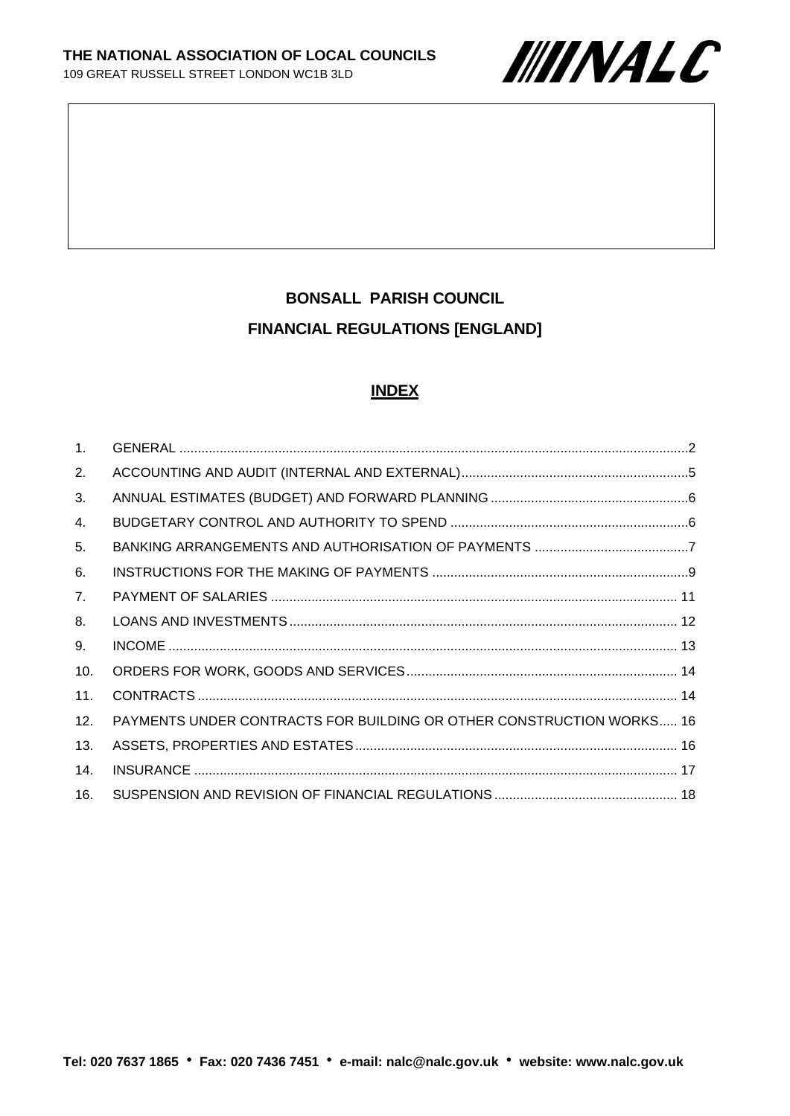

# **BONSALL PARISH COUNCIL FINANCIAL REGULATIONS [ENGLAND]**

#### **INDEX**

| $\mathbf{1}$ . |                                                                             |  |
|----------------|-----------------------------------------------------------------------------|--|
| 2.             |                                                                             |  |
| 3.             |                                                                             |  |
| 4.             |                                                                             |  |
| 5.             |                                                                             |  |
| 6.             |                                                                             |  |
| 7 <sub>1</sub> |                                                                             |  |
| 8.             |                                                                             |  |
| 9.             |                                                                             |  |
| 10.            |                                                                             |  |
| 11.            |                                                                             |  |
| 12.            | <b>PAYMENTS UNDER CONTRACTS FOR BUILDING OR OTHER CONSTRUCTION WORKS 16</b> |  |
| 13.            |                                                                             |  |
| 14.            |                                                                             |  |
| 16.            |                                                                             |  |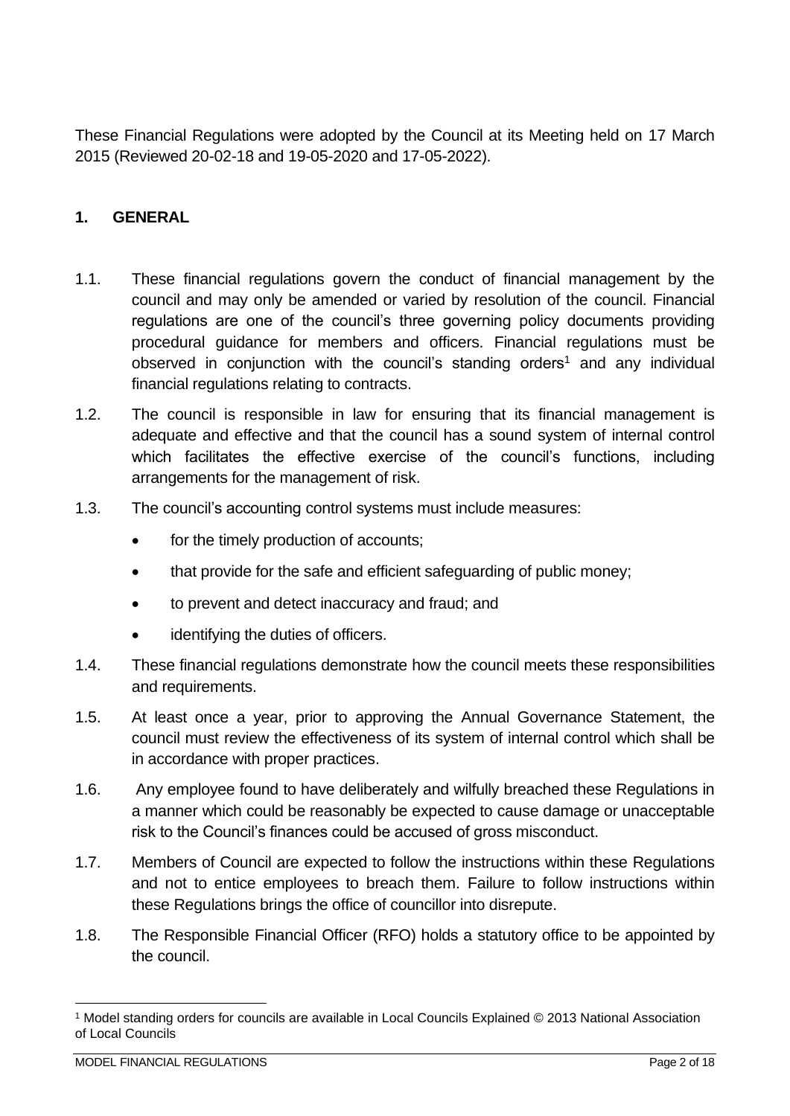These Financial Regulations were adopted by the Council at its Meeting held on 17 March 2015 (Reviewed 20-02-18 and 19-05-2020 and 17-05-2022).

## <span id="page-1-0"></span>**1. GENERAL**

- 1.1. These financial regulations govern the conduct of financial management by the council and may only be amended or varied by resolution of the council. Financial regulations are one of the council's three governing policy documents providing procedural guidance for members and officers. Financial regulations must be observed in conjunction with the council's standing orders<sup>1</sup> and any individual financial regulations relating to contracts.
- 1.2. The council is responsible in law for ensuring that its financial management is adequate and effective and that the council has a sound system of internal control which facilitates the effective exercise of the council's functions, including arrangements for the management of risk.
- 1.3. The council's accounting control systems must include measures:
	- for the timely production of accounts;
	- that provide for the safe and efficient safeguarding of public money;
	- to prevent and detect inaccuracy and fraud; and
	- identifying the duties of officers.
- 1.4. These financial regulations demonstrate how the council meets these responsibilities and requirements.
- 1.5. At least once a year, prior to approving the Annual Governance Statement, the council must review the effectiveness of its system of internal control which shall be in accordance with proper practices.
- 1.6. Any employee found to have deliberately and wilfully breached these Regulations in a manner which could be reasonably be expected to cause damage or unacceptable risk to the Council's finances could be accused of gross misconduct.
- 1.7. Members of Council are expected to follow the instructions within these Regulations and not to entice employees to breach them. Failure to follow instructions within these Regulations brings the office of councillor into disrepute.
- 1.8. The Responsible Financial Officer (RFO) holds a statutory office to be appointed by the council.

<sup>1</sup> Model standing orders for councils are available in Local Councils Explained © 2013 National Association of Local Councils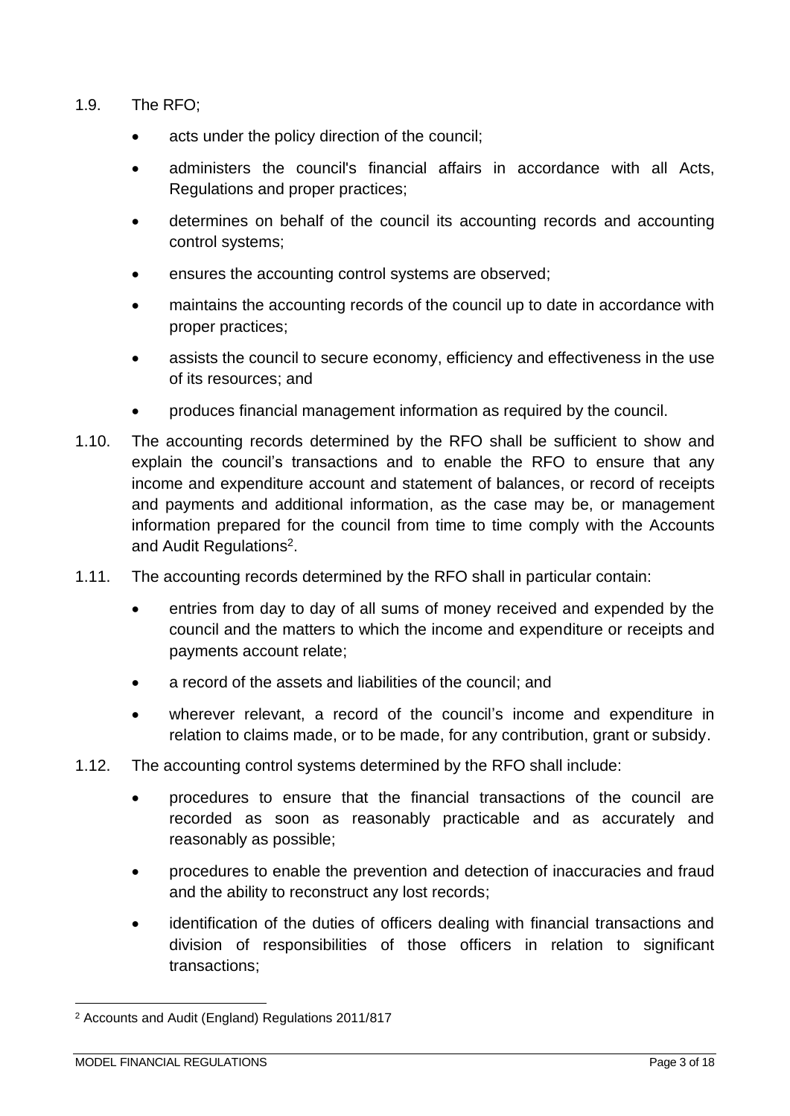- 1.9. The RFO;
	- acts under the policy direction of the council;
	- administers the council's financial affairs in accordance with all Acts, Regulations and proper practices;
	- determines on behalf of the council its accounting records and accounting control systems;
	- ensures the accounting control systems are observed;
	- maintains the accounting records of the council up to date in accordance with proper practices;
	- assists the council to secure economy, efficiency and effectiveness in the use of its resources; and
	- produces financial management information as required by the council.
- 1.10. The accounting records determined by the RFO shall be sufficient to show and explain the council's transactions and to enable the RFO to ensure that any income and expenditure account and statement of balances, or record of receipts and payments and additional information, as the case may be, or management information prepared for the council from time to time comply with the Accounts and Audit Regulations<sup>2</sup>.
- 1.11. The accounting records determined by the RFO shall in particular contain:
	- entries from day to day of all sums of money received and expended by the council and the matters to which the income and expenditure or receipts and payments account relate;
	- a record of the assets and liabilities of the council; and
	- wherever relevant, a record of the council's income and expenditure in relation to claims made, or to be made, for any contribution, grant or subsidy.
- 1.12. The accounting control systems determined by the RFO shall include:
	- procedures to ensure that the financial transactions of the council are recorded as soon as reasonably practicable and as accurately and reasonably as possible;
	- procedures to enable the prevention and detection of inaccuracies and fraud and the ability to reconstruct any lost records;
	- identification of the duties of officers dealing with financial transactions and division of responsibilities of those officers in relation to significant transactions;

<sup>2</sup> Accounts and Audit (England) Regulations 2011/817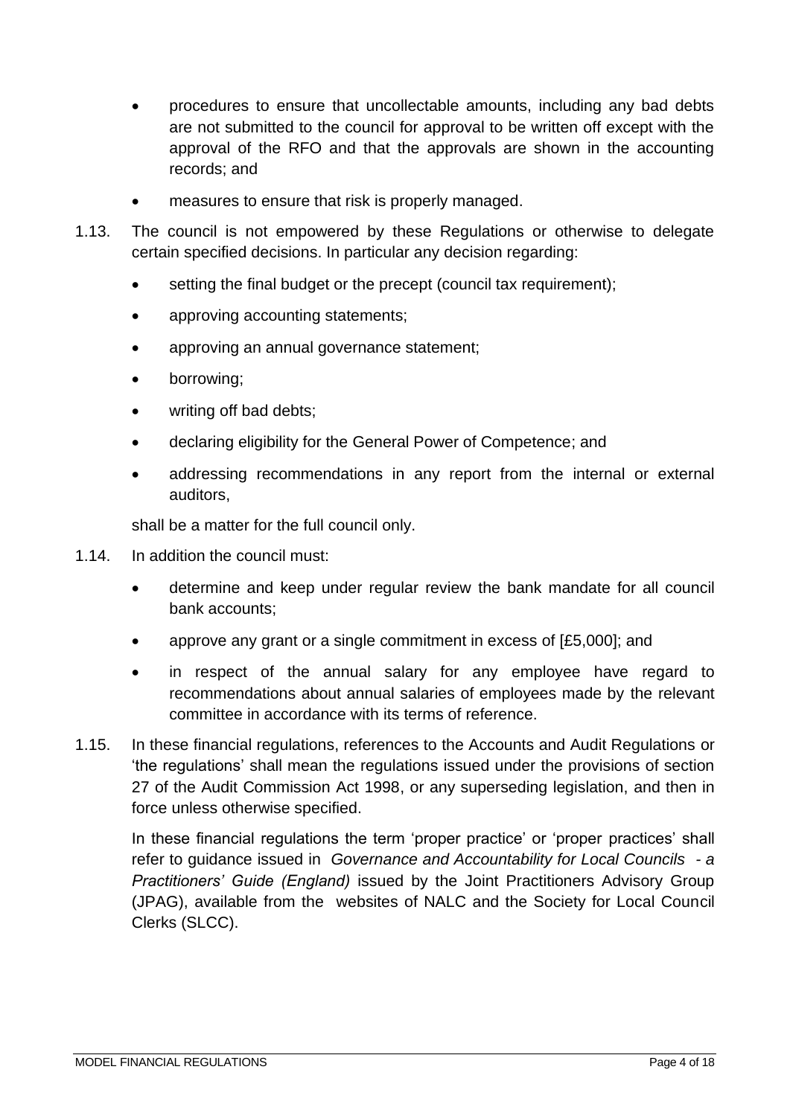- procedures to ensure that uncollectable amounts, including any bad debts are not submitted to the council for approval to be written off except with the approval of the RFO and that the approvals are shown in the accounting records; and
- measures to ensure that risk is properly managed.
- 1.13. The council is not empowered by these Regulations or otherwise to delegate certain specified decisions. In particular any decision regarding:
	- setting the final budget or the precept (council tax requirement):
	- approving accounting statements;
	- approving an annual governance statement;
	- borrowing;
	- writing off bad debts;
	- declaring eligibility for the General Power of Competence; and
	- addressing recommendations in any report from the internal or external auditors,

shall be a matter for the full council only.

- 1.14. In addition the council must:
	- determine and keep under regular review the bank mandate for all council bank accounts;
	- approve any grant or a single commitment in excess of [£5,000]; and
	- in respect of the annual salary for any employee have regard to recommendations about annual salaries of employees made by the relevant committee in accordance with its terms of reference.
- 1.15. In these financial regulations, references to the Accounts and Audit Regulations or 'the regulations' shall mean the regulations issued under the provisions of section 27 of the Audit Commission Act 1998, or any superseding legislation, and then in force unless otherwise specified.

In these financial regulations the term 'proper practice' or 'proper practices' shall refer to guidance issued in *Governance and Accountability for Local Councils - a Practitioners' Guide (England)* issued by the Joint Practitioners Advisory Group (JPAG), available from the websites of NALC and the Society for Local Council Clerks (SLCC).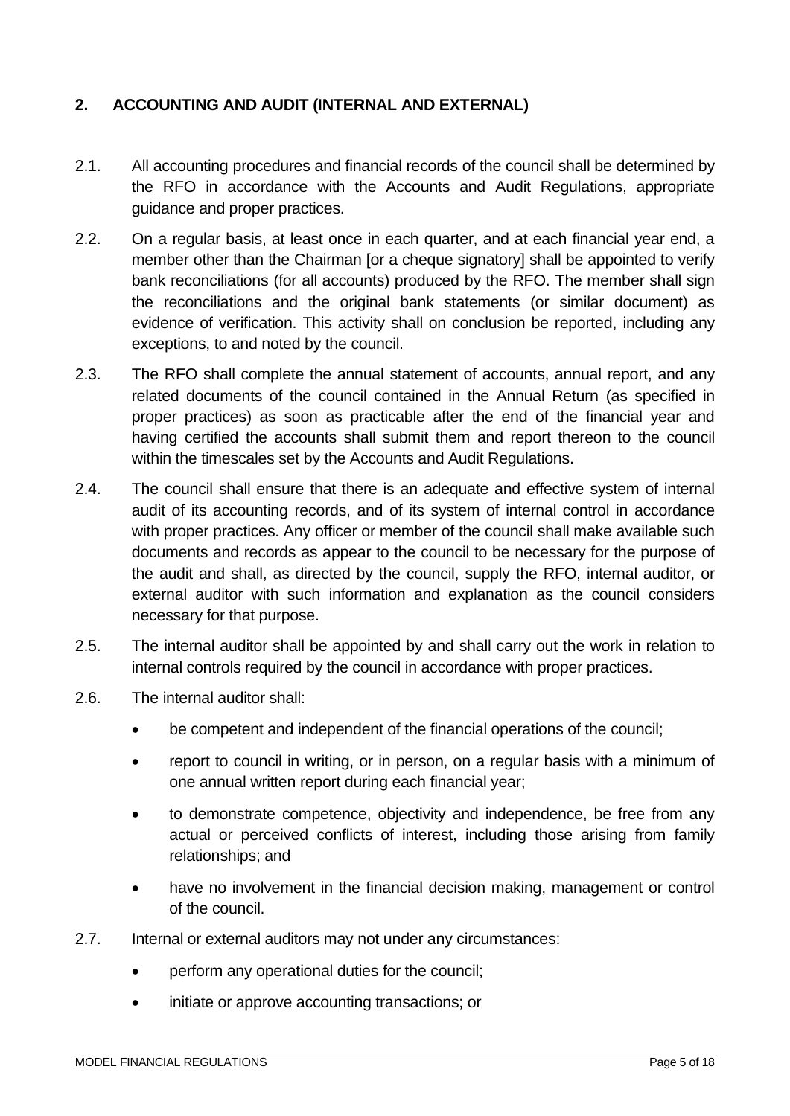## <span id="page-4-0"></span>**2. ACCOUNTING AND AUDIT (INTERNAL AND EXTERNAL)**

- 2.1. All accounting procedures and financial records of the council shall be determined by the RFO in accordance with the Accounts and Audit Regulations, appropriate guidance and proper practices.
- 2.2. On a regular basis, at least once in each quarter, and at each financial year end, a member other than the Chairman [or a cheque signatory] shall be appointed to verify bank reconciliations (for all accounts) produced by the RFO. The member shall sign the reconciliations and the original bank statements (or similar document) as evidence of verification. This activity shall on conclusion be reported, including any exceptions, to and noted by the council.
- 2.3. The RFO shall complete the annual statement of accounts, annual report, and any related documents of the council contained in the Annual Return (as specified in proper practices) as soon as practicable after the end of the financial year and having certified the accounts shall submit them and report thereon to the council within the timescales set by the Accounts and Audit Regulations.
- 2.4. The council shall ensure that there is an adequate and effective system of internal audit of its accounting records, and of its system of internal control in accordance with proper practices. Any officer or member of the council shall make available such documents and records as appear to the council to be necessary for the purpose of the audit and shall, as directed by the council, supply the RFO, internal auditor, or external auditor with such information and explanation as the council considers necessary for that purpose.
- 2.5. The internal auditor shall be appointed by and shall carry out the work in relation to internal controls required by the council in accordance with proper practices.
- 2.6. The internal auditor shall:
	- be competent and independent of the financial operations of the council;
	- report to council in writing, or in person, on a regular basis with a minimum of one annual written report during each financial year;
	- to demonstrate competence, objectivity and independence, be free from any actual or perceived conflicts of interest, including those arising from family relationships; and
	- have no involvement in the financial decision making, management or control of the council.
- 2.7. Internal or external auditors may not under any circumstances:
	- perform any operational duties for the council:
	- initiate or approve accounting transactions; or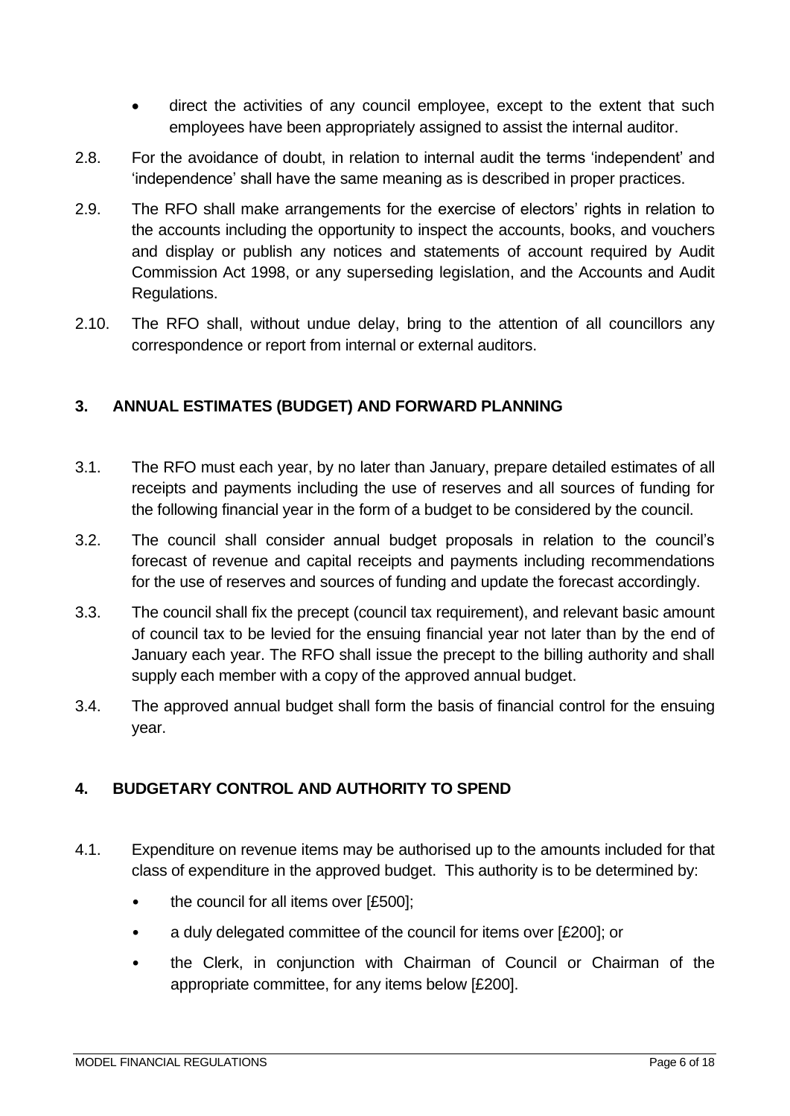- direct the activities of any council employee, except to the extent that such employees have been appropriately assigned to assist the internal auditor.
- 2.8. For the avoidance of doubt, in relation to internal audit the terms 'independent' and 'independence' shall have the same meaning as is described in proper practices.
- 2.9. The RFO shall make arrangements for the exercise of electors' rights in relation to the accounts including the opportunity to inspect the accounts, books, and vouchers and display or publish any notices and statements of account required by Audit Commission Act 1998, or any superseding legislation, and the Accounts and Audit Regulations.
- 2.10. The RFO shall, without undue delay, bring to the attention of all councillors any correspondence or report from internal or external auditors.

## <span id="page-5-0"></span>**3. ANNUAL ESTIMATES (BUDGET) AND FORWARD PLANNING**

- 3.1. The RFO must each year, by no later than January, prepare detailed estimates of all receipts and payments including the use of reserves and all sources of funding for the following financial year in the form of a budget to be considered by the council.
- 3.2. The council shall consider annual budget proposals in relation to the council's forecast of revenue and capital receipts and payments including recommendations for the use of reserves and sources of funding and update the forecast accordingly.
- 3.3. The council shall fix the precept (council tax requirement), and relevant basic amount of council tax to be levied for the ensuing financial year not later than by the end of January each year. The RFO shall issue the precept to the billing authority and shall supply each member with a copy of the approved annual budget.
- 3.4. The approved annual budget shall form the basis of financial control for the ensuing year.

# <span id="page-5-1"></span>**4. BUDGETARY CONTROL AND AUTHORITY TO SPEND**

- 4.1. Expenditure on revenue items may be authorised up to the amounts included for that class of expenditure in the approved budget. This authority is to be determined by:
	- the council for all items over [£500];
	- a duly delegated committee of the council for items over [£200]; or
	- the Clerk, in conjunction with Chairman of Council or Chairman of the appropriate committee, for any items below [£200].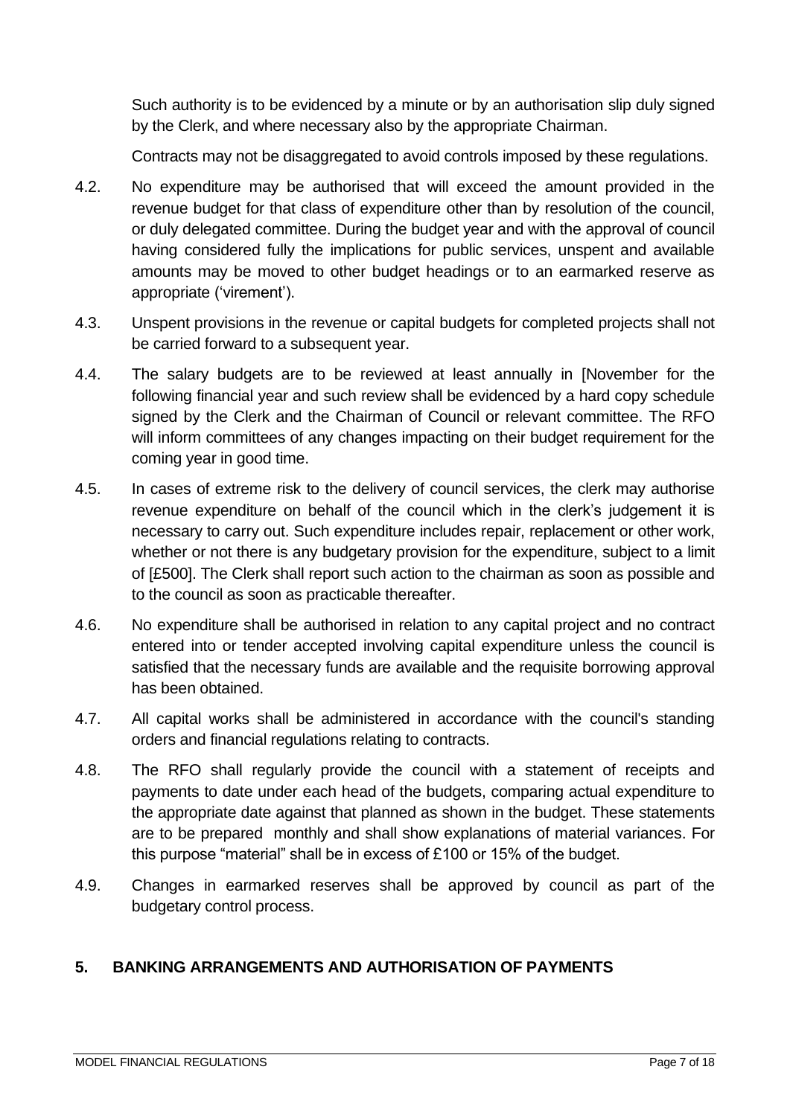Such authority is to be evidenced by a minute or by an authorisation slip duly signed by the Clerk, and where necessary also by the appropriate Chairman.

Contracts may not be disaggregated to avoid controls imposed by these regulations.

- 4.2. No expenditure may be authorised that will exceed the amount provided in the revenue budget for that class of expenditure other than by resolution of the council, or duly delegated committee. During the budget year and with the approval of council having considered fully the implications for public services, unspent and available amounts may be moved to other budget headings or to an earmarked reserve as appropriate ('virement').
- 4.3. Unspent provisions in the revenue or capital budgets for completed projects shall not be carried forward to a subsequent year.
- 4.4. The salary budgets are to be reviewed at least annually in [November for the following financial year and such review shall be evidenced by a hard copy schedule signed by the Clerk and the Chairman of Council or relevant committee. The RFO will inform committees of any changes impacting on their budget requirement for the coming year in good time.
- 4.5. In cases of extreme risk to the delivery of council services, the clerk may authorise revenue expenditure on behalf of the council which in the clerk's judgement it is necessary to carry out. Such expenditure includes repair, replacement or other work, whether or not there is any budgetary provision for the expenditure, subject to a limit of [£500]. The Clerk shall report such action to the chairman as soon as possible and to the council as soon as practicable thereafter.
- 4.6. No expenditure shall be authorised in relation to any capital project and no contract entered into or tender accepted involving capital expenditure unless the council is satisfied that the necessary funds are available and the requisite borrowing approval has been obtained.
- 4.7. All capital works shall be administered in accordance with the council's standing orders and financial regulations relating to contracts.
- 4.8. The RFO shall regularly provide the council with a statement of receipts and payments to date under each head of the budgets, comparing actual expenditure to the appropriate date against that planned as shown in the budget. These statements are to be prepared monthly and shall show explanations of material variances. For this purpose "material" shall be in excess of £100 or 15% of the budget.
- 4.9. Changes in earmarked reserves shall be approved by council as part of the budgetary control process.

#### <span id="page-6-0"></span>**5. BANKING ARRANGEMENTS AND AUTHORISATION OF PAYMENTS**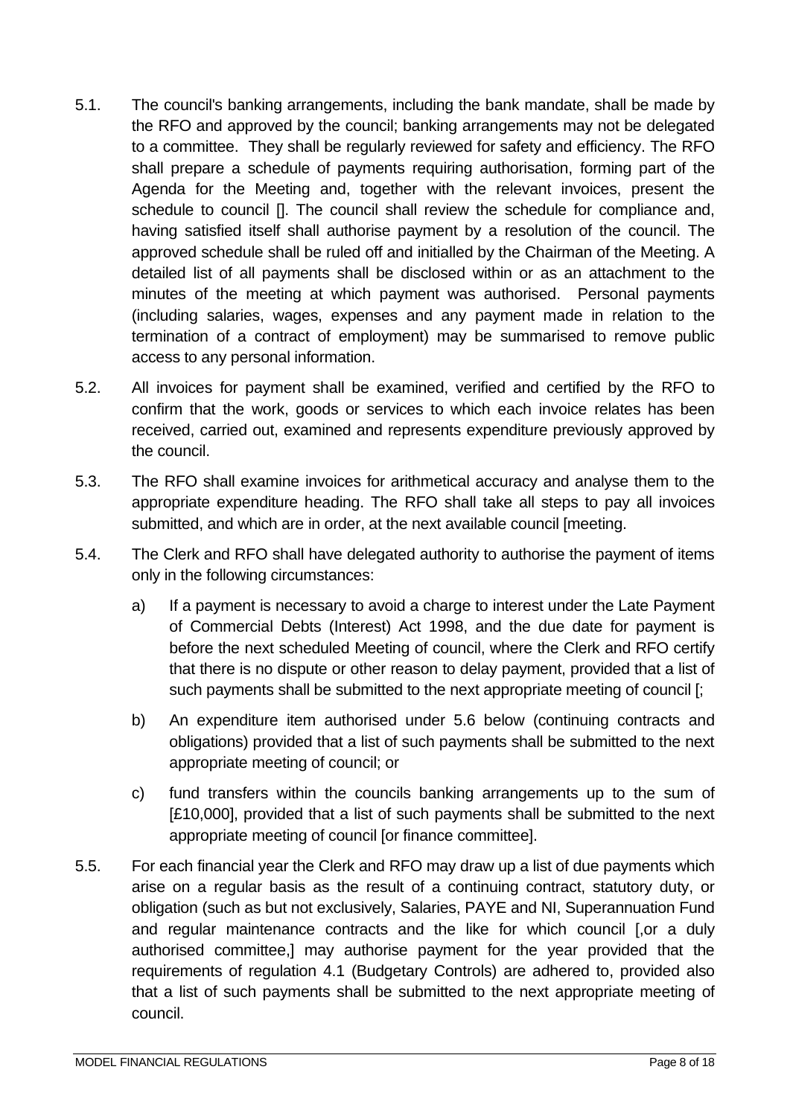- 5.1. The council's banking arrangements, including the bank mandate, shall be made by the RFO and approved by the council; banking arrangements may not be delegated to a committee. They shall be regularly reviewed for safety and efficiency. The RFO shall prepare a schedule of payments requiring authorisation, forming part of the Agenda for the Meeting and, together with the relevant invoices, present the schedule to council []. The council shall review the schedule for compliance and, having satisfied itself shall authorise payment by a resolution of the council. The approved schedule shall be ruled off and initialled by the Chairman of the Meeting. A detailed list of all payments shall be disclosed within or as an attachment to the minutes of the meeting at which payment was authorised. Personal payments (including salaries, wages, expenses and any payment made in relation to the termination of a contract of employment) may be summarised to remove public access to any personal information.
- 5.2. All invoices for payment shall be examined, verified and certified by the RFO to confirm that the work, goods or services to which each invoice relates has been received, carried out, examined and represents expenditure previously approved by the council.
- 5.3. The RFO shall examine invoices for arithmetical accuracy and analyse them to the appropriate expenditure heading. The RFO shall take all steps to pay all invoices submitted, and which are in order, at the next available council [meeting.
- 5.4. The Clerk and RFO shall have delegated authority to authorise the payment of items only in the following circumstances:
	- a) If a payment is necessary to avoid a charge to interest under the Late Payment of Commercial Debts (Interest) Act 1998, and the due date for payment is before the next scheduled Meeting of council, where the Clerk and RFO certify that there is no dispute or other reason to delay payment, provided that a list of such payments shall be submitted to the next appropriate meeting of council [;
	- b) An expenditure item authorised under 5.6 below (continuing contracts and obligations) provided that a list of such payments shall be submitted to the next appropriate meeting of council; or
	- c) fund transfers within the councils banking arrangements up to the sum of [£10,000], provided that a list of such payments shall be submitted to the next appropriate meeting of council [or finance committee].
- 5.5. For each financial year the Clerk and RFO may draw up a list of due payments which arise on a regular basis as the result of a continuing contract, statutory duty, or obligation (such as but not exclusively, Salaries, PAYE and NI, Superannuation Fund and regular maintenance contracts and the like for which council [,or a duly authorised committee,] may authorise payment for the year provided that the requirements of regulation 4.1 (Budgetary Controls) are adhered to, provided also that a list of such payments shall be submitted to the next appropriate meeting of council.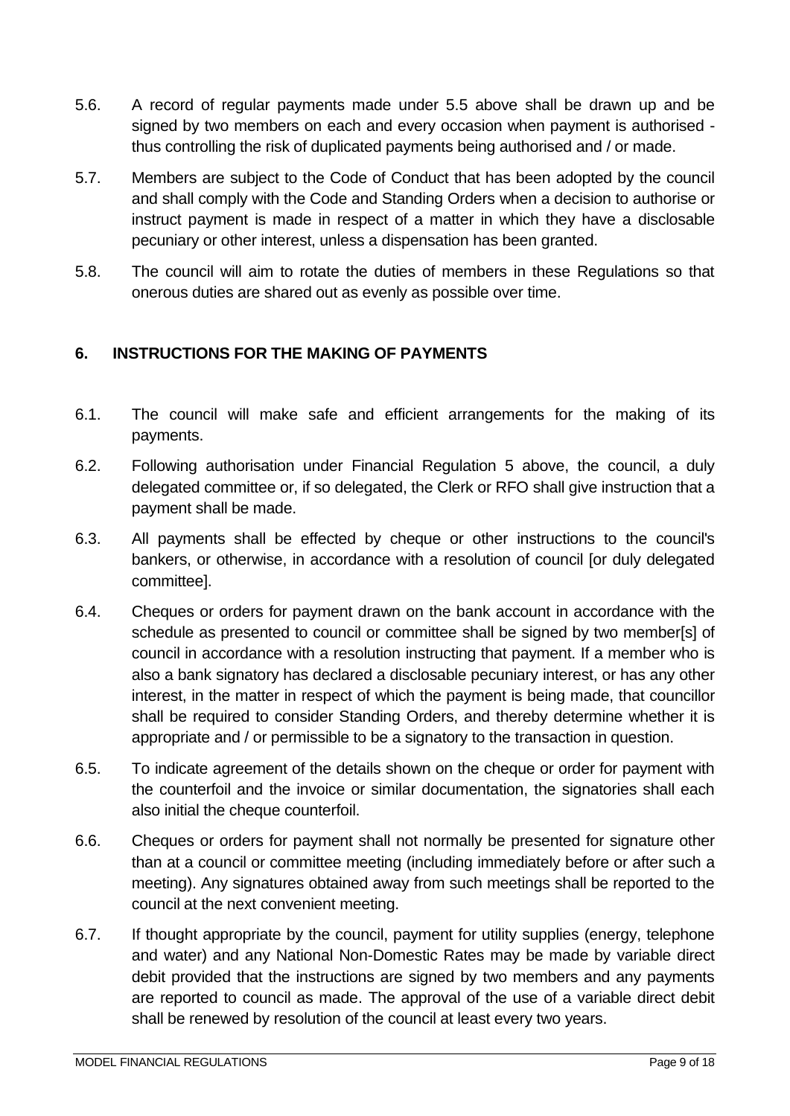- 5.6. A record of regular payments made under 5.5 above shall be drawn up and be signed by two members on each and every occasion when payment is authorised thus controlling the risk of duplicated payments being authorised and / or made.
- 5.7. Members are subject to the Code of Conduct that has been adopted by the council and shall comply with the Code and Standing Orders when a decision to authorise or instruct payment is made in respect of a matter in which they have a disclosable pecuniary or other interest, unless a dispensation has been granted.
- 5.8. The council will aim to rotate the duties of members in these Regulations so that onerous duties are shared out as evenly as possible over time.

# <span id="page-8-0"></span>**6. INSTRUCTIONS FOR THE MAKING OF PAYMENTS**

- 6.1. The council will make safe and efficient arrangements for the making of its payments.
- 6.2. Following authorisation under Financial Regulation 5 above, the council, a duly delegated committee or, if so delegated, the Clerk or RFO shall give instruction that a payment shall be made.
- 6.3. All payments shall be effected by cheque or other instructions to the council's bankers, or otherwise, in accordance with a resolution of council [or duly delegated committee].
- 6.4. Cheques or orders for payment drawn on the bank account in accordance with the schedule as presented to council or committee shall be signed by two member[s] of council in accordance with a resolution instructing that payment. If a member who is also a bank signatory has declared a disclosable pecuniary interest, or has any other interest, in the matter in respect of which the payment is being made, that councillor shall be required to consider Standing Orders, and thereby determine whether it is appropriate and / or permissible to be a signatory to the transaction in question.
- 6.5. To indicate agreement of the details shown on the cheque or order for payment with the counterfoil and the invoice or similar documentation, the signatories shall each also initial the cheque counterfoil.
- 6.6. Cheques or orders for payment shall not normally be presented for signature other than at a council or committee meeting (including immediately before or after such a meeting). Any signatures obtained away from such meetings shall be reported to the council at the next convenient meeting.
- 6.7. If thought appropriate by the council, payment for utility supplies (energy, telephone and water) and any National Non-Domestic Rates may be made by variable direct debit provided that the instructions are signed by two members and any payments are reported to council as made. The approval of the use of a variable direct debit shall be renewed by resolution of the council at least every two years.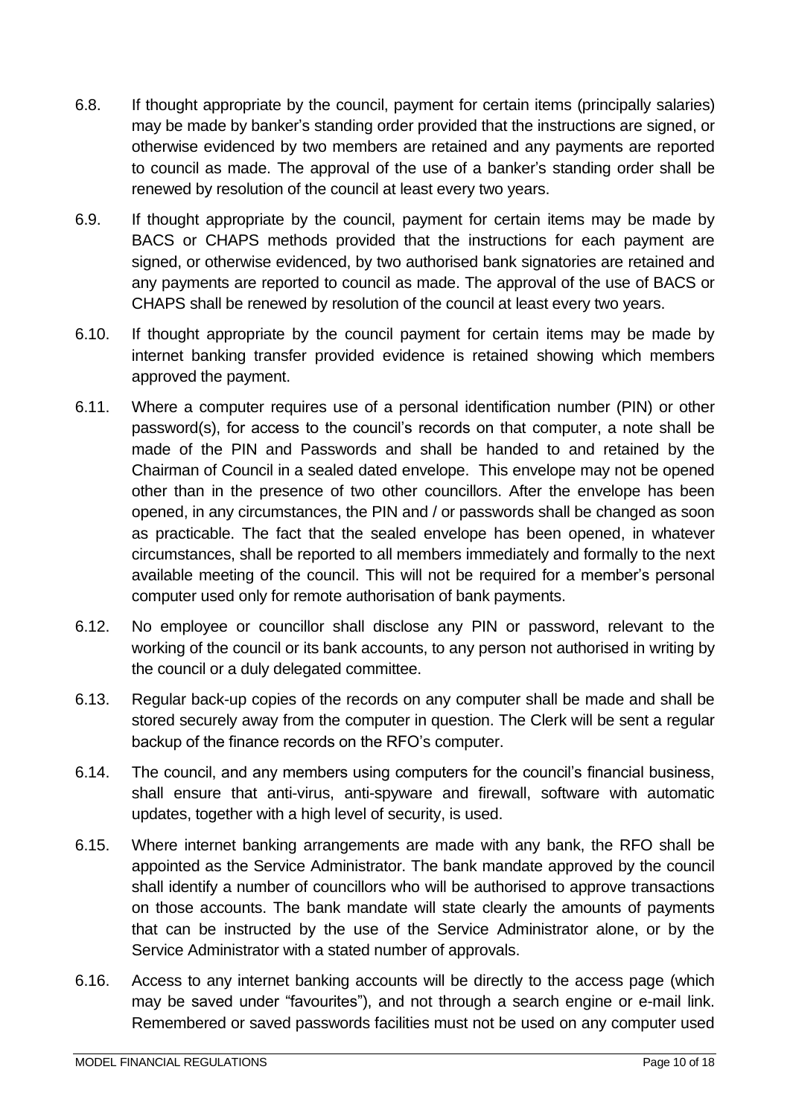- 6.8. If thought appropriate by the council, payment for certain items (principally salaries) may be made by banker's standing order provided that the instructions are signed, or otherwise evidenced by two members are retained and any payments are reported to council as made. The approval of the use of a banker's standing order shall be renewed by resolution of the council at least every two years.
- 6.9. If thought appropriate by the council, payment for certain items may be made by BACS or CHAPS methods provided that the instructions for each payment are signed, or otherwise evidenced, by two authorised bank signatories are retained and any payments are reported to council as made. The approval of the use of BACS or CHAPS shall be renewed by resolution of the council at least every two years.
- 6.10. If thought appropriate by the council payment for certain items may be made by internet banking transfer provided evidence is retained showing which members approved the payment.
- 6.11. Where a computer requires use of a personal identification number (PIN) or other password(s), for access to the council's records on that computer, a note shall be made of the PIN and Passwords and shall be handed to and retained by the Chairman of Council in a sealed dated envelope. This envelope may not be opened other than in the presence of two other councillors. After the envelope has been opened, in any circumstances, the PIN and / or passwords shall be changed as soon as practicable. The fact that the sealed envelope has been opened, in whatever circumstances, shall be reported to all members immediately and formally to the next available meeting of the council. This will not be required for a member's personal computer used only for remote authorisation of bank payments.
- 6.12. No employee or councillor shall disclose any PIN or password, relevant to the working of the council or its bank accounts, to any person not authorised in writing by the council or a duly delegated committee.
- 6.13. Regular back-up copies of the records on any computer shall be made and shall be stored securely away from the computer in question. The Clerk will be sent a regular backup of the finance records on the RFO's computer.
- 6.14. The council, and any members using computers for the council's financial business, shall ensure that anti-virus, anti-spyware and firewall, software with automatic updates, together with a high level of security, is used.
- 6.15. Where internet banking arrangements are made with any bank, the RFO shall be appointed as the Service Administrator. The bank mandate approved by the council shall identify a number of councillors who will be authorised to approve transactions on those accounts. The bank mandate will state clearly the amounts of payments that can be instructed by the use of the Service Administrator alone, or by the Service Administrator with a stated number of approvals.
- 6.16. Access to any internet banking accounts will be directly to the access page (which may be saved under "favourites"), and not through a search engine or e-mail link. Remembered or saved passwords facilities must not be used on any computer used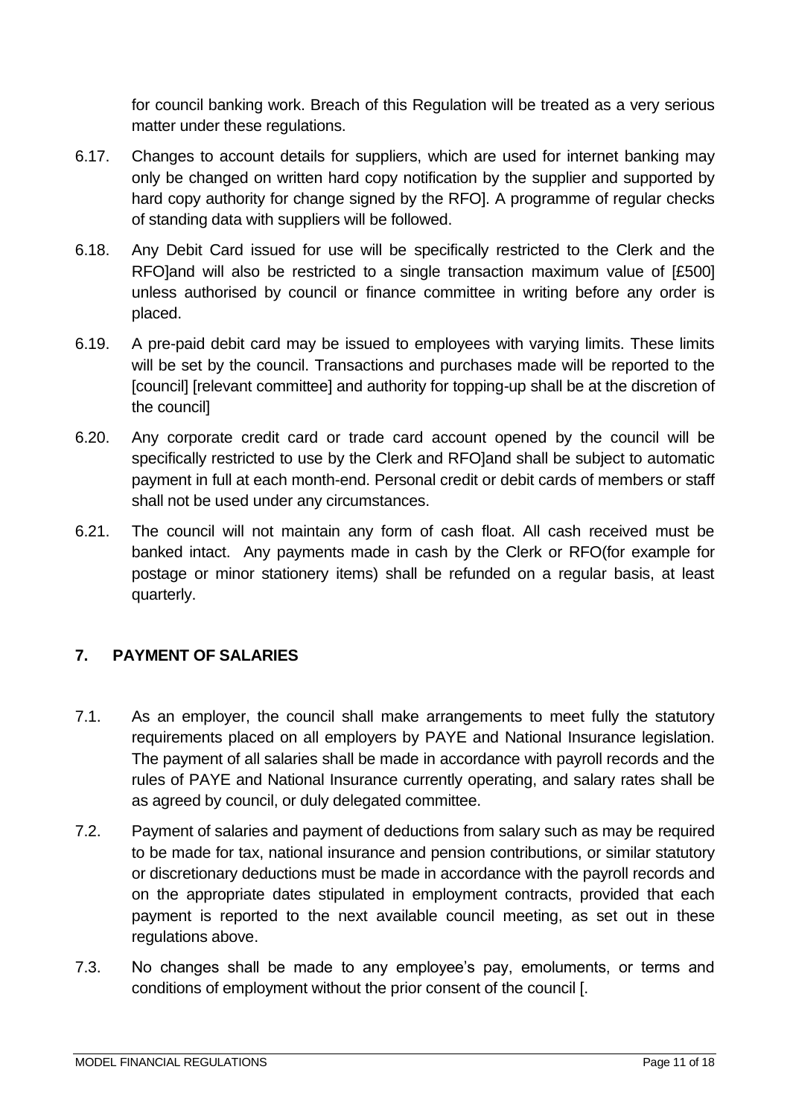for council banking work. Breach of this Regulation will be treated as a very serious matter under these regulations.

- 6.17. Changes to account details for suppliers, which are used for internet banking may only be changed on written hard copy notification by the supplier and supported by hard copy authority for change signed by the RFOI. A programme of regular checks of standing data with suppliers will be followed.
- 6.18. Any Debit Card issued for use will be specifically restricted to the Clerk and the RFO]and will also be restricted to a single transaction maximum value of [£500] unless authorised by council or finance committee in writing before any order is placed.
- 6.19. A pre-paid debit card may be issued to employees with varying limits. These limits will be set by the council. Transactions and purchases made will be reported to the [council] [relevant committee] and authority for topping-up shall be at the discretion of the council]
- 6.20. Any corporate credit card or trade card account opened by the council will be specifically restricted to use by the Clerk and RFO]and shall be subject to automatic payment in full at each month-end. Personal credit or debit cards of members or staff shall not be used under any circumstances.
- 6.21. The council will not maintain any form of cash float. All cash received must be banked intact. Any payments made in cash by the Clerk or RFO(for example for postage or minor stationery items) shall be refunded on a regular basis, at least quarterly.

# <span id="page-10-0"></span>**7. PAYMENT OF SALARIES**

- 7.1. As an employer, the council shall make arrangements to meet fully the statutory requirements placed on all employers by PAYE and National Insurance legislation. The payment of all salaries shall be made in accordance with payroll records and the rules of PAYE and National Insurance currently operating, and salary rates shall be as agreed by council, or duly delegated committee.
- 7.2. Payment of salaries and payment of deductions from salary such as may be required to be made for tax, national insurance and pension contributions, or similar statutory or discretionary deductions must be made in accordance with the payroll records and on the appropriate dates stipulated in employment contracts, provided that each payment is reported to the next available council meeting, as set out in these regulations above.
- 7.3. No changes shall be made to any employee's pay, emoluments, or terms and conditions of employment without the prior consent of the council [.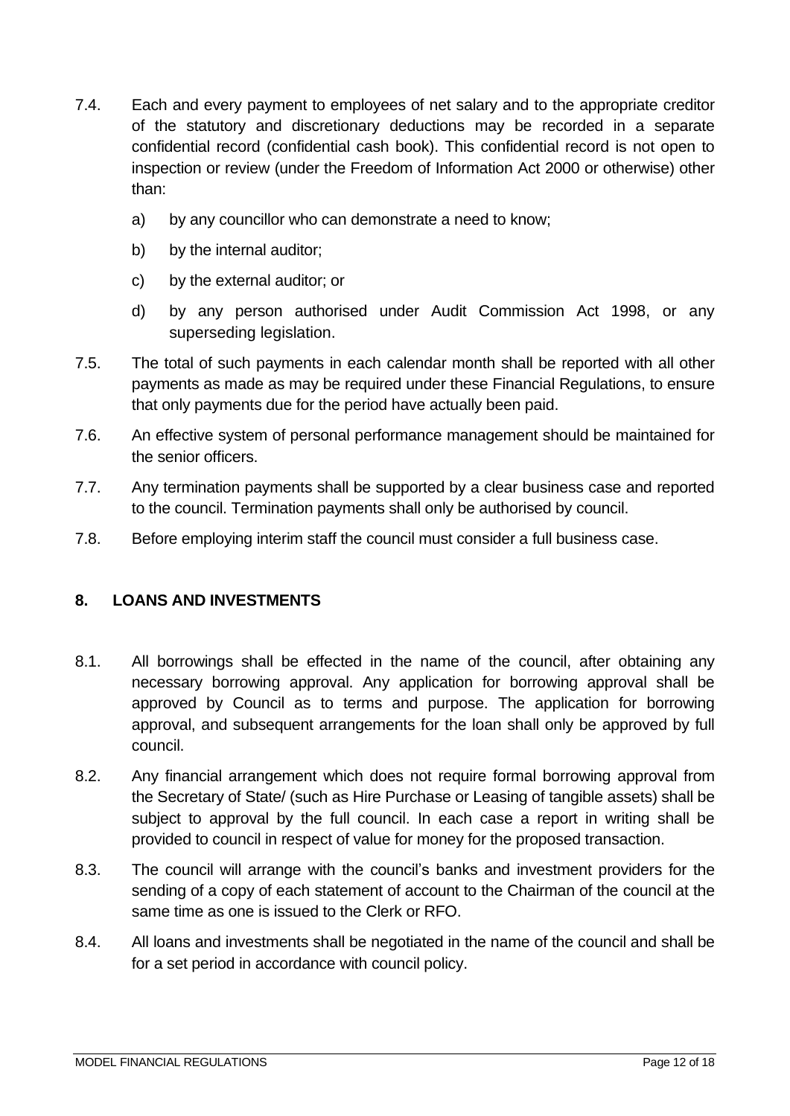- 7.4. Each and every payment to employees of net salary and to the appropriate creditor of the statutory and discretionary deductions may be recorded in a separate confidential record (confidential cash book). This confidential record is not open to inspection or review (under the Freedom of Information Act 2000 or otherwise) other than:
	- a) by any councillor who can demonstrate a need to know;
	- b) by the internal auditor;
	- c) by the external auditor; or
	- d) by any person authorised under Audit Commission Act 1998, or any superseding legislation.
- 7.5. The total of such payments in each calendar month shall be reported with all other payments as made as may be required under these Financial Regulations, to ensure that only payments due for the period have actually been paid.
- 7.6. An effective system of personal performance management should be maintained for the senior officers.
- 7.7. Any termination payments shall be supported by a clear business case and reported to the council. Termination payments shall only be authorised by council.
- 7.8. Before employing interim staff the council must consider a full business case.

# <span id="page-11-0"></span>**8. LOANS AND INVESTMENTS**

- 8.1. All borrowings shall be effected in the name of the council, after obtaining any necessary borrowing approval. Any application for borrowing approval shall be approved by Council as to terms and purpose. The application for borrowing approval, and subsequent arrangements for the loan shall only be approved by full council.
- 8.2. Any financial arrangement which does not require formal borrowing approval from the Secretary of State/ (such as Hire Purchase or Leasing of tangible assets) shall be subject to approval by the full council. In each case a report in writing shall be provided to council in respect of value for money for the proposed transaction.
- 8.3. The council will arrange with the council's banks and investment providers for the sending of a copy of each statement of account to the Chairman of the council at the same time as one is issued to the Clerk or RFO.
- 8.4. All loans and investments shall be negotiated in the name of the council and shall be for a set period in accordance with council policy.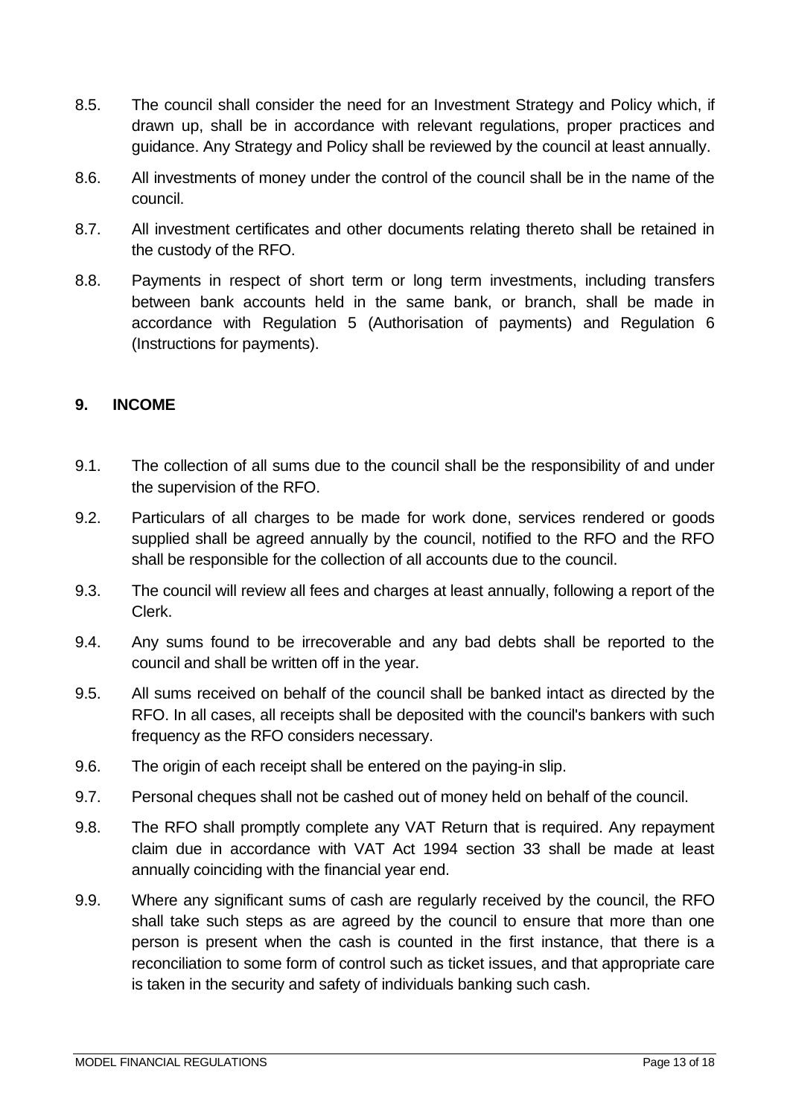- 8.5. The council shall consider the need for an Investment Strategy and Policy which, if drawn up, shall be in accordance with relevant regulations, proper practices and guidance. Any Strategy and Policy shall be reviewed by the council at least annually.
- 8.6. All investments of money under the control of the council shall be in the name of the council.
- 8.7. All investment certificates and other documents relating thereto shall be retained in the custody of the RFO.
- 8.8. Payments in respect of short term or long term investments, including transfers between bank accounts held in the same bank, or branch, shall be made in accordance with Regulation 5 (Authorisation of payments) and Regulation 6 (Instructions for payments).

#### <span id="page-12-0"></span>**9. INCOME**

- 9.1. The collection of all sums due to the council shall be the responsibility of and under the supervision of the RFO.
- 9.2. Particulars of all charges to be made for work done, services rendered or goods supplied shall be agreed annually by the council, notified to the RFO and the RFO shall be responsible for the collection of all accounts due to the council.
- 9.3. The council will review all fees and charges at least annually, following a report of the Clerk.
- 9.4. Any sums found to be irrecoverable and any bad debts shall be reported to the council and shall be written off in the year.
- 9.5. All sums received on behalf of the council shall be banked intact as directed by the RFO. In all cases, all receipts shall be deposited with the council's bankers with such frequency as the RFO considers necessary.
- 9.6. The origin of each receipt shall be entered on the paying-in slip.
- 9.7. Personal cheques shall not be cashed out of money held on behalf of the council.
- 9.8. The RFO shall promptly complete any VAT Return that is required. Any repayment claim due in accordance with VAT Act 1994 section 33 shall be made at least annually coinciding with the financial year end.
- 9.9. Where any significant sums of cash are regularly received by the council, the RFO shall take such steps as are agreed by the council to ensure that more than one person is present when the cash is counted in the first instance, that there is a reconciliation to some form of control such as ticket issues, and that appropriate care is taken in the security and safety of individuals banking such cash.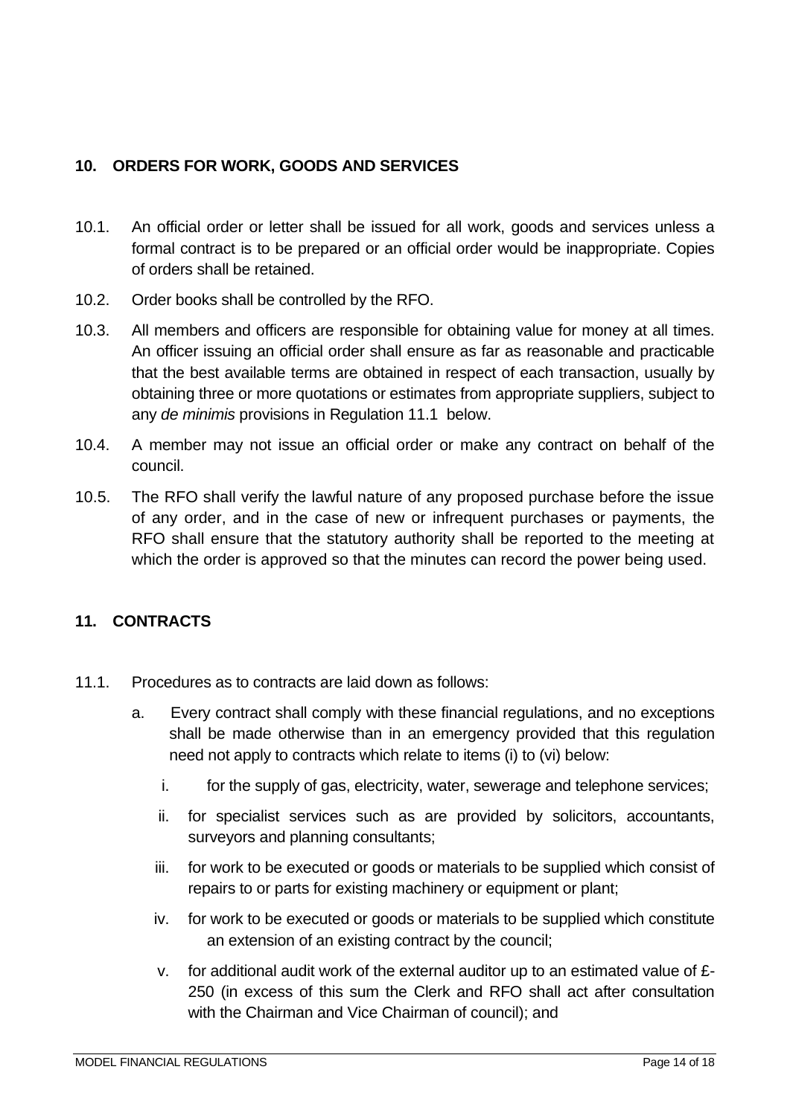## <span id="page-13-0"></span>**10. ORDERS FOR WORK, GOODS AND SERVICES**

- 10.1. An official order or letter shall be issued for all work, goods and services unless a formal contract is to be prepared or an official order would be inappropriate. Copies of orders shall be retained.
- 10.2. Order books shall be controlled by the RFO.
- 10.3. All members and officers are responsible for obtaining value for money at all times. An officer issuing an official order shall ensure as far as reasonable and practicable that the best available terms are obtained in respect of each transaction, usually by obtaining three or more quotations or estimates from appropriate suppliers, subject to any *de minimis* provisions in Regulation 11.1 below.
- 10.4. A member may not issue an official order or make any contract on behalf of the council.
- 10.5. The RFO shall verify the lawful nature of any proposed purchase before the issue of any order, and in the case of new or infrequent purchases or payments, the RFO shall ensure that the statutory authority shall be reported to the meeting at which the order is approved so that the minutes can record the power being used.

# <span id="page-13-1"></span>**11. CONTRACTS**

- 11.1. Procedures as to contracts are laid down as follows:
	- a. Every contract shall comply with these financial regulations, and no exceptions shall be made otherwise than in an emergency provided that this regulation need not apply to contracts which relate to items (i) to (vi) below:
		- i. for the supply of gas, electricity, water, sewerage and telephone services;
		- ii. for specialist services such as are provided by solicitors, accountants, surveyors and planning consultants;
		- iii. for work to be executed or goods or materials to be supplied which consist of repairs to or parts for existing machinery or equipment or plant;
		- iv. for work to be executed or goods or materials to be supplied which constitute an extension of an existing contract by the council;
		- v. for additional audit work of the external auditor up to an estimated value of £- 250 (in excess of this sum the Clerk and RFO shall act after consultation with the Chairman and Vice Chairman of council); and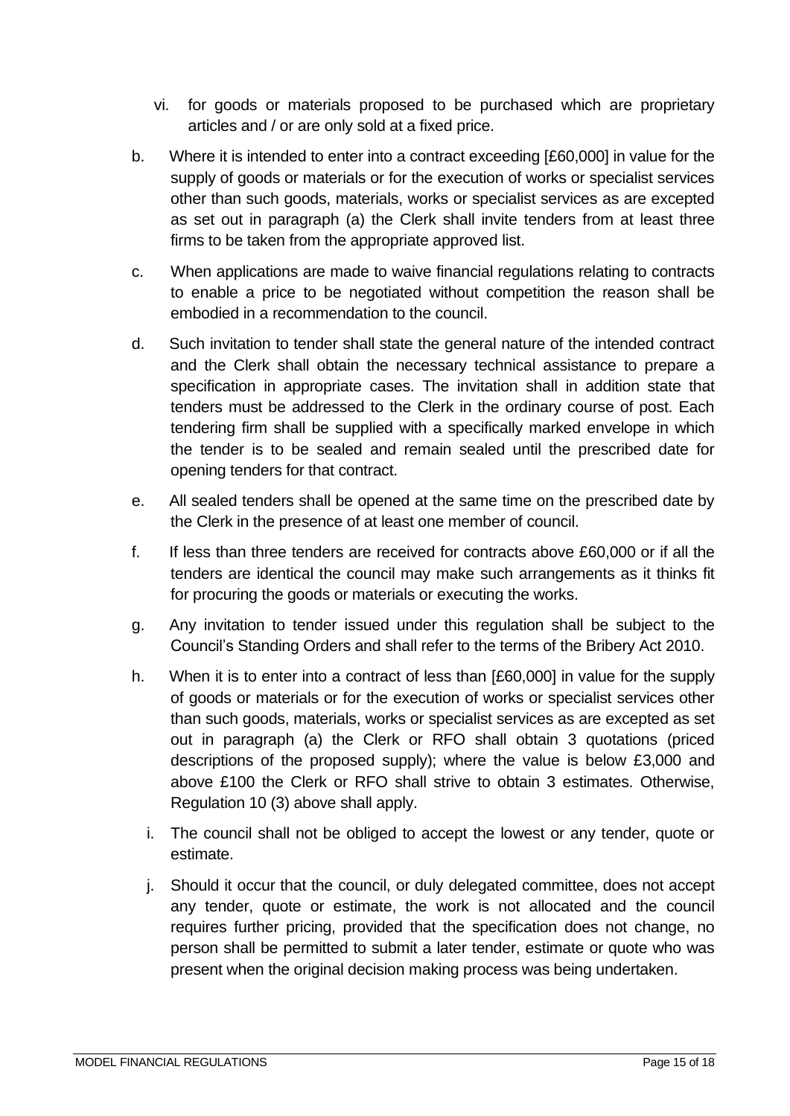- vi. for goods or materials proposed to be purchased which are proprietary articles and / or are only sold at a fixed price.
- b. Where it is intended to enter into a contract exceeding [£60,000] in value for the supply of goods or materials or for the execution of works or specialist services other than such goods, materials, works or specialist services as are excepted as set out in paragraph (a) the Clerk shall invite tenders from at least three firms to be taken from the appropriate approved list.
- c. When applications are made to waive financial regulations relating to contracts to enable a price to be negotiated without competition the reason shall be embodied in a recommendation to the council.
- d. Such invitation to tender shall state the general nature of the intended contract and the Clerk shall obtain the necessary technical assistance to prepare a specification in appropriate cases. The invitation shall in addition state that tenders must be addressed to the Clerk in the ordinary course of post. Each tendering firm shall be supplied with a specifically marked envelope in which the tender is to be sealed and remain sealed until the prescribed date for opening tenders for that contract.
- e. All sealed tenders shall be opened at the same time on the prescribed date by the Clerk in the presence of at least one member of council.
- f. If less than three tenders are received for contracts above £60,000 or if all the tenders are identical the council may make such arrangements as it thinks fit for procuring the goods or materials or executing the works.
- g. Any invitation to tender issued under this regulation shall be subject to the Council's Standing Orders and shall refer to the terms of the Bribery Act 2010.
- h. When it is to enter into a contract of less than [£60,000] in value for the supply of goods or materials or for the execution of works or specialist services other than such goods, materials, works or specialist services as are excepted as set out in paragraph (a) the Clerk or RFO shall obtain 3 quotations (priced descriptions of the proposed supply); where the value is below £3,000 and above £100 the Clerk or RFO shall strive to obtain 3 estimates. Otherwise, Regulation 10 (3) above shall apply.
	- i. The council shall not be obliged to accept the lowest or any tender, quote or estimate.
	- j. Should it occur that the council, or duly delegated committee, does not accept any tender, quote or estimate, the work is not allocated and the council requires further pricing, provided that the specification does not change, no person shall be permitted to submit a later tender, estimate or quote who was present when the original decision making process was being undertaken.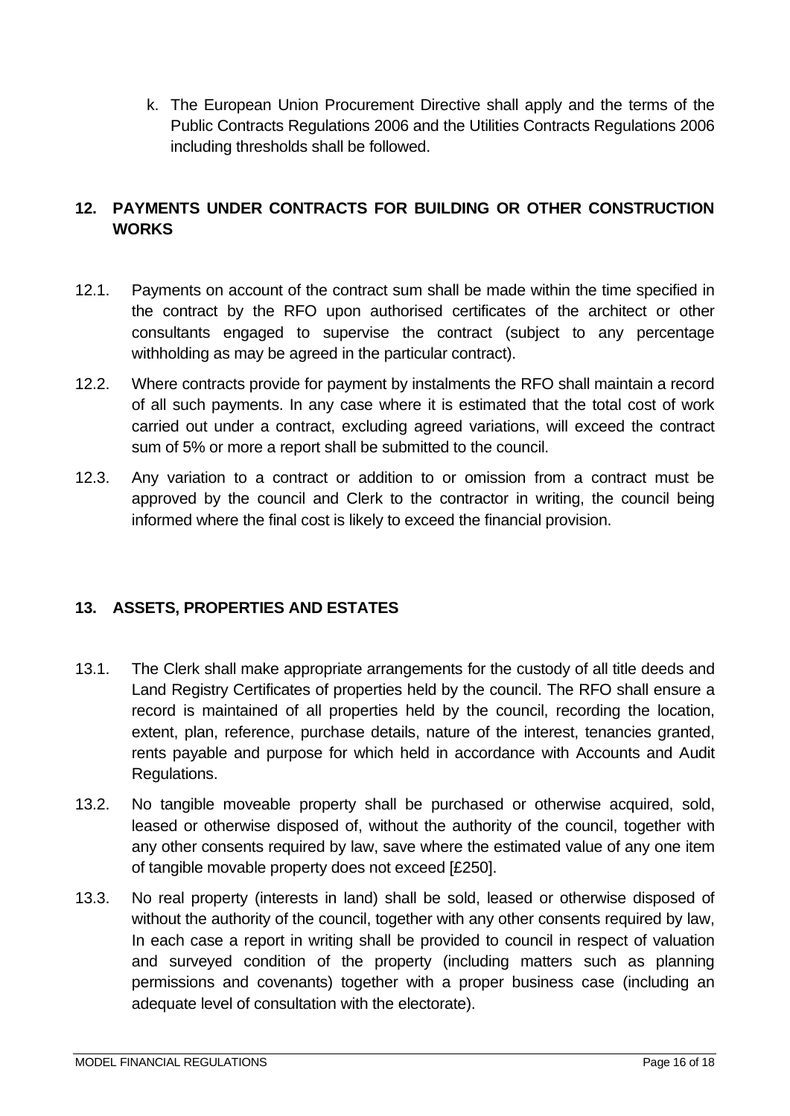k. The European Union Procurement Directive shall apply and the terms of the Public Contracts Regulations 2006 and the Utilities Contracts Regulations 2006 including thresholds shall be followed.

## <span id="page-15-0"></span>**12. PAYMENTS UNDER CONTRACTS FOR BUILDING OR OTHER CONSTRUCTION WORKS**

- 12.1. Payments on account of the contract sum shall be made within the time specified in the contract by the RFO upon authorised certificates of the architect or other consultants engaged to supervise the contract (subject to any percentage withholding as may be agreed in the particular contract).
- 12.2. Where contracts provide for payment by instalments the RFO shall maintain a record of all such payments. In any case where it is estimated that the total cost of work carried out under a contract, excluding agreed variations, will exceed the contract sum of 5% or more a report shall be submitted to the council.
- 12.3. Any variation to a contract or addition to or omission from a contract must be approved by the council and Clerk to the contractor in writing, the council being informed where the final cost is likely to exceed the financial provision.

# <span id="page-15-1"></span>**13. ASSETS, PROPERTIES AND ESTATES**

- 13.1. The Clerk shall make appropriate arrangements for the custody of all title deeds and Land Registry Certificates of properties held by the council. The RFO shall ensure a record is maintained of all properties held by the council, recording the location, extent, plan, reference, purchase details, nature of the interest, tenancies granted, rents payable and purpose for which held in accordance with Accounts and Audit Regulations.
- 13.2. No tangible moveable property shall be purchased or otherwise acquired, sold, leased or otherwise disposed of, without the authority of the council, together with any other consents required by law, save where the estimated value of any one item of tangible movable property does not exceed [£250].
- 13.3. No real property (interests in land) shall be sold, leased or otherwise disposed of without the authority of the council, together with any other consents required by law, In each case a report in writing shall be provided to council in respect of valuation and surveyed condition of the property (including matters such as planning permissions and covenants) together with a proper business case (including an adequate level of consultation with the electorate).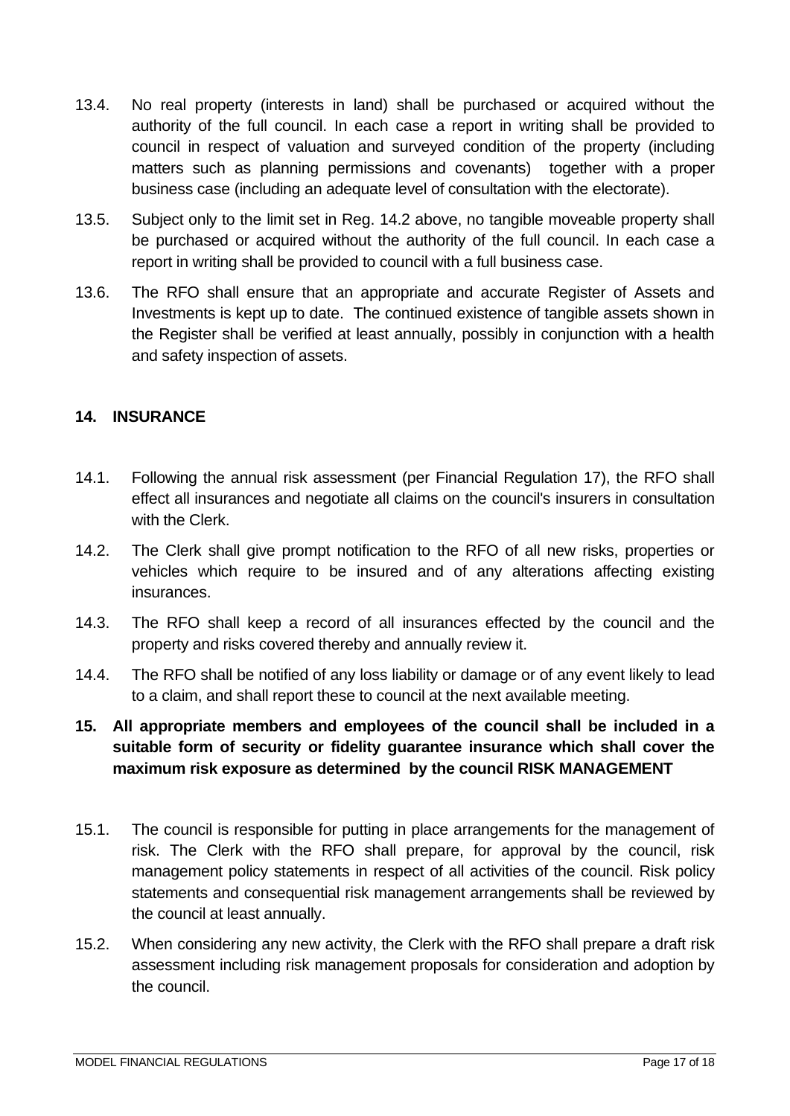- 13.4. No real property (interests in land) shall be purchased or acquired without the authority of the full council. In each case a report in writing shall be provided to council in respect of valuation and surveyed condition of the property (including matters such as planning permissions and covenants) together with a proper business case (including an adequate level of consultation with the electorate).
- 13.5. Subject only to the limit set in Reg. 14.2 above, no tangible moveable property shall be purchased or acquired without the authority of the full council. In each case a report in writing shall be provided to council with a full business case.
- 13.6. The RFO shall ensure that an appropriate and accurate Register of Assets and Investments is kept up to date. The continued existence of tangible assets shown in the Register shall be verified at least annually, possibly in conjunction with a health and safety inspection of assets.

#### <span id="page-16-0"></span>**14. INSURANCE**

- 14.1. Following the annual risk assessment (per Financial Regulation 17), the RFO shall effect all insurances and negotiate all claims on the council's insurers in consultation with the Clerk.
- 14.2. The Clerk shall give prompt notification to the RFO of all new risks, properties or vehicles which require to be insured and of any alterations affecting existing insurances.
- 14.3. The RFO shall keep a record of all insurances effected by the council and the property and risks covered thereby and annually review it.
- 14.4. The RFO shall be notified of any loss liability or damage or of any event likely to lead to a claim, and shall report these to council at the next available meeting.

## **15. All appropriate members and employees of the council shall be included in a suitable form of security or fidelity guarantee insurance which shall cover the maximum risk exposure as determined by the council RISK MANAGEMENT**

- 15.1. The council is responsible for putting in place arrangements for the management of risk. The Clerk with the RFO shall prepare, for approval by the council, risk management policy statements in respect of all activities of the council. Risk policy statements and consequential risk management arrangements shall be reviewed by the council at least annually.
- 15.2. When considering any new activity, the Clerk with the RFO shall prepare a draft risk assessment including risk management proposals for consideration and adoption by the council.